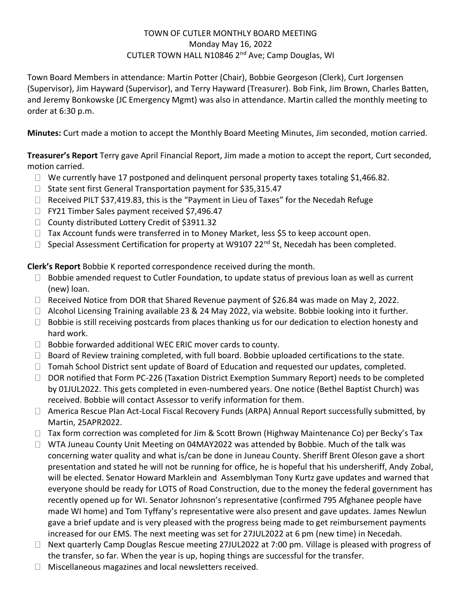### TOWN OF CUTLER MONTHLY BOARD MEETING Monday May 16, 2022 CUTLER TOWN HALL N10846 2nd Ave; Camp Douglas, WI

Town Board Members in attendance: Martin Potter (Chair), Bobbie Georgeson (Clerk), Curt Jorgensen (Supervisor), Jim Hayward (Supervisor), and Terry Hayward (Treasurer). Bob Fink, Jim Brown, Charles Batten, and Jeremy Bonkowske (JC Emergency Mgmt) was also in attendance. Martin called the monthly meeting to order at 6:30 p.m.

**Minutes:** Curt made a motion to accept the Monthly Board Meeting Minutes, Jim seconded, motion carried.

**Treasurer's Report** Terry gave April Financial Report, Jim made a motion to accept the report, Curt seconded, motion carried.

- $\Box$  We currently have 17 postponed and delinquent personal property taxes totaling \$1,466.82.
- $\Box$  State sent first General Transportation payment for \$35,315.47
- $\Box$  Received PILT \$37,419.83, this is the "Payment in Lieu of Taxes" for the Necedah Refuge
- □ FY21 Timber Sales payment received \$7,496.47
- □ County distributed Lottery Credit of \$3911.32
- $\Box$  Tax Account funds were transferred in to Money Market, less \$5 to keep account open.
- $\Box$  Special Assessment Certification for property at W9107 22<sup>nd</sup> St, Necedah has been completed.

**Cl Clerk's Report** Bobbie K reported correspondence received during the month.

- $\Box$  Bobbie amended request to Cutler Foundation, to update status of previous loan as well as current (new) loan.
- $\Box$  Received Notice from DOR that Shared Revenue payment of \$26.84 was made on May 2, 2022.
- □ Alcohol Licensing Training available 23 & 24 May 2022, via website. Bobbie looking into it further.
- $\Box$  Bobbie is still receiving postcards from places thanking us for our dedication to election honesty and hard work.
- $\Box$  Bobbie forwarded additional WEC ERIC mover cards to county.
- $\Box$  Board of Review training completed, with full board. Bobbie uploaded certifications to the state.
- $\Box$  Tomah School District sent update of Board of Education and requested our updates, completed.
- $\Box$  DOR notified that Form PC-226 (Taxation District Exemption Summary Report) needs to be completed by 01JUL2022. This gets completed in even-numbered years. One notice (Bethel Baptist Church) was received. Bobbie will contact Assessor to verify information for them.
- □ America Rescue Plan Act-Local Fiscal Recovery Funds (ARPA) Annual Report successfully submitted, by Martin, 25APR2022.
- $\Box$  Tax form correction was completed for Jim & Scott Brown (Highway Maintenance Co) per Becky's Tax
- □ WTA Juneau County Unit Meeting on 04MAY2022 was attended by Bobbie. Much of the talk was concerning water quality and what is/can be done in Juneau County. Sheriff Brent Oleson gave a short presentation and stated he will not be running for office, he is hopeful that his undersheriff, Andy Zobal, will be elected. Senator Howard Marklein and Assemblyman Tony Kurtz gave updates and warned that everyone should be ready for LOTS of Road Construction, due to the money the federal government has recently opened up for WI. Senator Johnsnon's representative (confirmed 795 Afghanee people have made WI home) and Tom Tyffany's representative were also present and gave updates. James Newlun gave a brief update and is very pleased with the progress being made to get reimbursement payments increased for our EMS. The next meeting was set for 27JUL2022 at 6 pm (new time) in Necedah.
- □ Next quarterly Camp Douglas Rescue meeting 27JUL2022 at 7:00 pm. Village is pleased with progress of the transfer, so far. When the year is up, hoping things are successful for the transfer.
- $\Box$  Miscellaneous magazines and local newsletters received.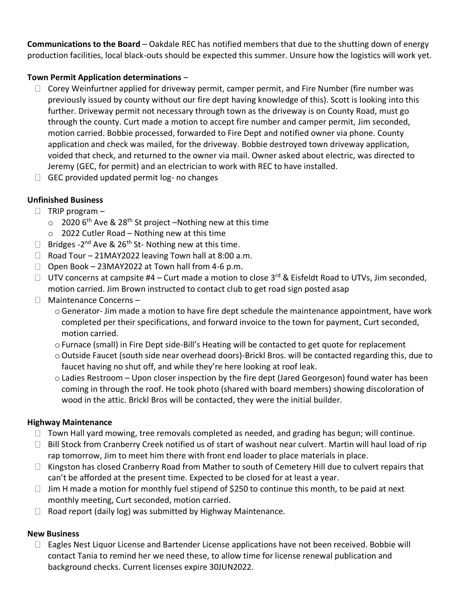**Communications to the Board** – Oakdale REC has notified members that due to the shutting down of energy production facilities, local black-outs should be expected this summer. Unsure how the logistics will work yet.

## **Town Permit Application determinations** –

- $\Box$  Corey Weinfurtner applied for driveway permit, camper permit, and Fire Number (fire number was previously issued by county without our fire dept having knowledge of this). Scott is looking into this further. Driveway permit not necessary through town as the driveway is on County Road, must go through the county. Curt made a motion to accept fire number and camper permit, Jim seconded, motion carried. Bobbie processed, forwarded to Fire Dept and notified owner via phone. County application and check was mailed, for the driveway. Bobbie destroyed town driveway application, voided that check, and returned to the owner via mail. Owner asked about electric, was directed to Jeremy (GEC, for permit) and an electrician to work with REC to have installed.
- $\Box$  GEC provided updated permit log- no changes

# **Unfinished Business**

- $\Box$  TRIP program
	- $\circ$  2020 6<sup>th</sup> Ave & 28<sup>th</sup> St project –Nothing new at this time
	- o 2022 Cutler Road Nothing new at this time
- Bridges 2<sup>nd</sup> Ave & 26<sup>th</sup> St- Nothing new at this time.
- $\Box$  Road Tour 21MAY2022 leaving Town hall at 8:00 a.m.
- $\Box$  Open Book 23MAY2022 at Town hall from 4-6 p.m.
- $\Box$  UTV concerns at campsite #4 Curt made a motion to close 3<sup>rd</sup> & Eisfeldt Road to UTVs, Jim seconded, motion carried. Jim Brown instructed to contact club to get road sign posted asap
- $\Box$  Maintenance Concerns
	- o Generator- Jim made a motion to have fire dept schedule the maintenance appointment, have work completed per their specifications, and forward invoice to the town for payment, Curt seconded, motion carried.
	- o Furnace (small) in Fire Dept side-Bill's Heating will be contacted to get quote for replacement
	- oOutside Faucet (south side near overhead doors)-Brickl Bros. will be contacted regarding this, due to faucet having no shut off, and while they're here looking at roof leak.
	- $\circ$  Ladies Restroom Upon closer inspection by the fire dept (Jared Georgeson) found water has been coming in through the roof. He took photo (shared with board members) showing discoloration of wood in the attic. Brickl Bros will be contacted, they were the initial builder.

### **Highway Maintenance**

- $\Box$  Town Hall yard mowing, tree removals completed as needed, and grading has begun; will continue.
- $\Box$  Bill Stock from Cranberry Creek notified us of start of washout near culvert. Martin will haul load of rip rap tomorrow, Jim to meet him there with front end loader to place materials in place.
- $\Box$  Kingston has closed Cranberry Road from Mather to south of Cemetery Hill due to culvert repairs that can't be afforded at the present time. Expected to be closed for at least a year.
- $\Box$  Jim H made a motion for monthly fuel stipend of \$250 to continue this month, to be paid at next monthly meeting, Curt seconded, motion carried.
- $\Box$  Road report (daily log) was submitted by Highway Maintenance.

### **New Business**

 $\Box$  Eagles Nest Liquor License and Bartender License applications have not been received. Bobbie will contact Tania to remind her we need these, to allow time for license renewal publication and background checks. Current licenses expire 30JUN2022.